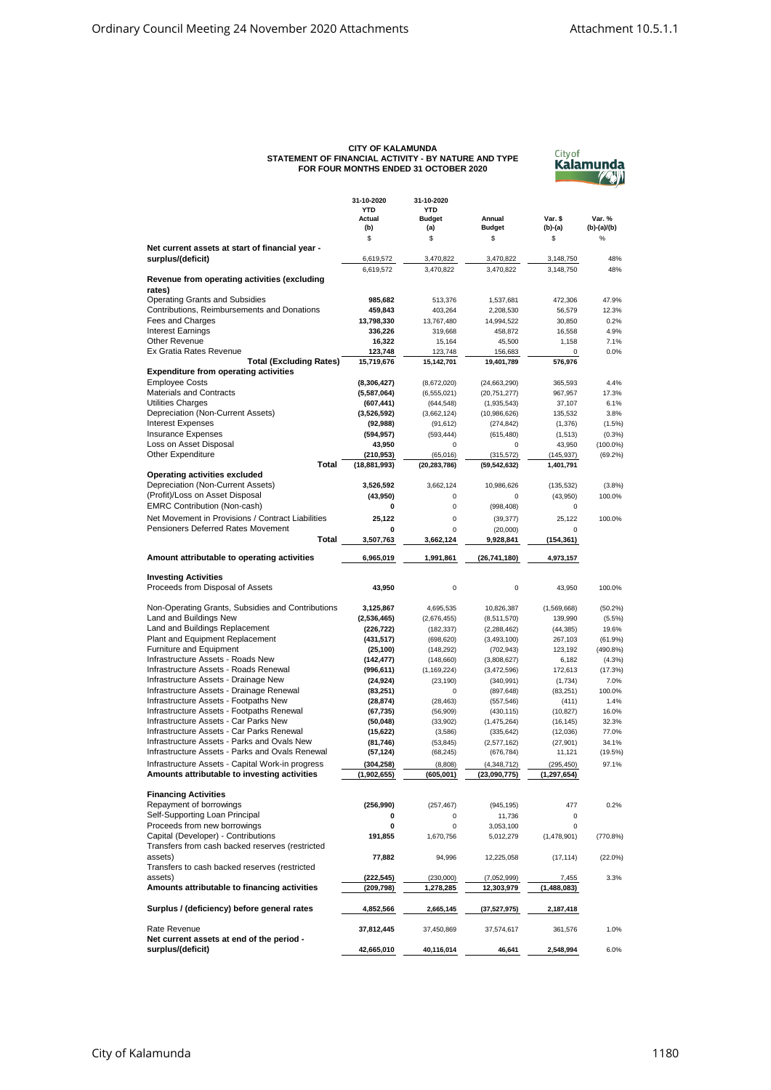## **CITY OF KALAMUNDA STATEMENT OF FINANCIAL ACTIVITY - BY NATURE AND TYPE FOR FOUR MONTHS ENDED 31 OCTOBER 2020**

| Citvof      |
|-------------|
| Kalamunda   |
| <b>ZELW</b> |

|                                                   | 31-10-2020<br><b>YTD</b><br>Actual | 31-10-2020           | Annual                | Var. \$       | Var. %      |
|---------------------------------------------------|------------------------------------|----------------------|-----------------------|---------------|-------------|
|                                                   |                                    | YTD<br><b>Budget</b> |                       |               |             |
|                                                   | (b)                                | (a)                  | <b>Budget</b>         | (b)-(a)       | (b)-(a)/(b) |
|                                                   | \$                                 | \$                   | \$                    | \$            | %           |
| Net current assets at start of financial year -   |                                    |                      |                       |               |             |
| surplus/(deficit)                                 | 6,619,572                          | 3,470,822            | 3,470,822             | 3,148,750     | 48%         |
|                                                   | 6,619,572                          | 3,470,822            | 3,470,822             | 3,148,750     | 48%         |
| Revenue from operating activities (excluding      |                                    |                      |                       |               |             |
| rates)                                            |                                    |                      |                       |               |             |
| <b>Operating Grants and Subsidies</b>             | 985,682                            | 513,376              | 1,537,681             | 472,306       | 47.9%       |
| Contributions, Reimbursements and Donations       | 459,843                            | 403,264              | 2,208,530             | 56,579        | 12.3%       |
| Fees and Charges                                  | 13,798,330                         | 13,767,480           | 14,994,522            | 30,850        | 0.2%        |
| <b>Interest Earnings</b>                          | 336,226                            | 319,668              | 458,872               | 16,558        | 4.9%        |
| Other Revenue<br>Ex Gratia Rates Revenue          | 16,322                             | 15,164               | 45,500                | 1,158         | 7.1%        |
| <b>Total (Excluding Rates)</b>                    | 123,748<br>15,719,676              | 123,748              | 156,683<br>19,401,789 | 0             | 0.0%        |
| <b>Expenditure from operating activities</b>      |                                    | 15,142,701           |                       | 576,976       |             |
| <b>Employee Costs</b>                             | (8,306,427)                        | (8,672,020)          | (24, 663, 290)        | 365,593       | 4.4%        |
| <b>Materials and Contracts</b>                    | (5,587,064)                        | (6, 555, 021)        | (20, 751, 277)        | 967,957       | 17.3%       |
| <b>Utilities Charges</b>                          | (607, 441)                         | (644, 548)           | (1,935,543)           | 37,107        | 6.1%        |
| Depreciation (Non-Current Assets)                 | (3,526,592)                        | (3,662,124)          | (10,986,626)          | 135,532       | 3.8%        |
| <b>Interest Expenses</b>                          | (92, 988)                          | (91, 612)            | (274, 842)            | (1, 376)      | (1.5%)      |
| <b>Insurance Expenses</b>                         | (594, 957)                         | (593, 444)           | (615, 480)            | (1, 513)      | (0.3%)      |
| Loss on Asset Disposal                            | 43,950                             | 0                    | 0                     | 43,950        | $(100.0\%)$ |
| <b>Other Expenditure</b>                          | (210, 953)                         | (65,016)             | (315, 572)            | (145, 937)    | (69.2%)     |
| Total                                             | (18, 881, 993)                     | (20, 283, 786)       | (59, 542, 632)        | 1,401,791     |             |
| <b>Operating activities excluded</b>              |                                    |                      |                       |               |             |
| Depreciation (Non-Current Assets)                 | 3,526,592                          | 3,662,124            | 10,986,626            | (135, 532)    | (3.8%)      |
| (Profit)/Loss on Asset Disposal                   | (43,950)                           | 0                    | 0                     | (43,950)      | 100.0%      |
| <b>EMRC Contribution (Non-cash)</b>               | 0                                  | 0                    | (998, 408)            | 0             |             |
| Net Movement in Provisions / Contract Liabilities | 25,122                             | $\mathbf 0$          | (39, 377)             | 25,122        | 100.0%      |
| <b>Pensioners Deferred Rates Movement</b>         | 0                                  | $\mathbf 0$          | (20,000)              | $\mathbf 0$   |             |
| Total                                             | 3,507,763                          | 3,662,124            | 9,928,841             | (154, 361)    |             |
|                                                   |                                    |                      |                       |               |             |
| Amount attributable to operating activities       | 6,965,019                          | 1,991,861            | (26, 741, 180)        | 4,973,157     |             |
| <b>Investing Activities</b>                       |                                    |                      |                       |               |             |
| Proceeds from Disposal of Assets                  | 43,950                             | $\mathbf 0$          | $\mathbf 0$           | 43,950        | 100.0%      |
|                                                   |                                    |                      |                       |               |             |
| Non-Operating Grants, Subsidies and Contributions | 3,125,867                          | 4,695,535            | 10,826,387            | (1,569,668)   | (50.2%)     |
| Land and Buildings New                            | (2,536,465)                        | (2,676,455)          | (8,511,570)           | 139,990       | (5.5%)      |
| Land and Buildings Replacement                    | (226, 722)                         | (182, 337)           | (2, 288, 462)         | (44, 385)     | 19.6%       |
| Plant and Equipment Replacement                   | (431, 517)                         | (698, 620)           | (3, 493, 100)         | 267,103       | (61.9%)     |
| Furniture and Equipment                           | (25, 100)                          | (148, 292)           | (702, 943)            | 123,192       | (490.8%)    |
| Infrastructure Assets - Roads New                 | (142, 477)                         | (148,660)            | (3,808,627)           | 6,182         | (4.3%)      |
| Infrastructure Assets - Roads Renewal             | (996, 611)                         | (1, 169, 224)        | (3,472,596)           | 172,613       | (17.3%)     |
| Infrastructure Assets - Drainage New              | (24, 924)                          | (23, 190)            | (340, 991)            | (1,734)       | 7.0%        |
| Infrastructure Assets - Drainage Renewal          | (83, 251)                          | 0                    | (897, 648)            | (83, 251)     | 100.0%      |
| Infrastructure Assets - Footpaths New             | (28, 874)                          | (28, 463)            | (557, 546)            | (411)         | 1.4%        |
| Infrastructure Assets - Footpaths Renewal         | (67, 735)                          | (56,909)             | (430, 115)            | (10, 827)     | 16.0%       |
| Infrastructure Assets - Car Parks New             | (50, 048)                          | (33,902)             | (1,475,264)           | (16, 145)     | 32.3%       |
| Infrastructure Assets - Car Parks Renewal         | (15, 622)                          | (3,586)              | (335, 642)            | (12,036)      | 77.0%       |
| Infrastructure Assets - Parks and Ovals New       | (81, 746)                          | (53, 845)            | (2,577,162)           | (27, 901)     | 34.1%       |
| Infrastructure Assets - Parks and Ovals Renewal   | (57, 124)                          | (68, 245)            | (676, 784)            | 11,121        | (19.5%)     |
| Infrastructure Assets - Capital Work-in progress  | (304, 258)                         | (8,808)              | (4,348,712)           | (295, 450)    | 97.1%       |
| Amounts attributable to investing activities      | (1,902,655)                        | (605, 001)           | (23,090,775)          | (1, 297, 654) |             |
| <b>Financing Activities</b>                       |                                    |                      |                       |               |             |
| Repayment of borrowings                           | (256,990)                          | (257, 467)           | (945, 195)            | 477           | 0.2%        |
| Self-Supporting Loan Principal                    | 0                                  | 0                    | 11,736                | 0             |             |
| Proceeds from new borrowings                      | 0                                  | 0                    | 3,053,100             | 0             |             |
| Capital (Developer) - Contributions               | 191,855                            | 1,670,756            | 5,012,279             | (1,478,901)   | (770.8%)    |
| Transfers from cash backed reserves (restricted   |                                    |                      |                       |               |             |
| assets)                                           | 77,882                             | 94,996               | 12,225,058            | (17, 114)     | (22.0%)     |
| Transfers to cash backed reserves (restricted     |                                    |                      |                       |               |             |
| assets)                                           | (222, 545)                         | (230,000)            | (7,052,999)           | 7,455         | 3.3%        |
| Amounts attributable to financing activities      | (209, 798)                         | 1,278,285            | 12,303,979            | (1,488,083)   |             |
|                                                   |                                    |                      |                       |               |             |
| Surplus / (deficiency) before general rates       | 4,852,566                          | 2,665,145            | (37,527,975)          | 2,187,418     |             |
|                                                   |                                    |                      |                       |               |             |
| Rate Revenue                                      | 37,812,445                         | 37,450,869           | 37,574,617            | 361,576       | 1.0%        |
| Net current assets at end of the period -         |                                    |                      |                       |               |             |
| surplus/(deficit)                                 | 42,665,010                         | 40,116,014           | 46,641                | 2,548,994     | 6.0%        |